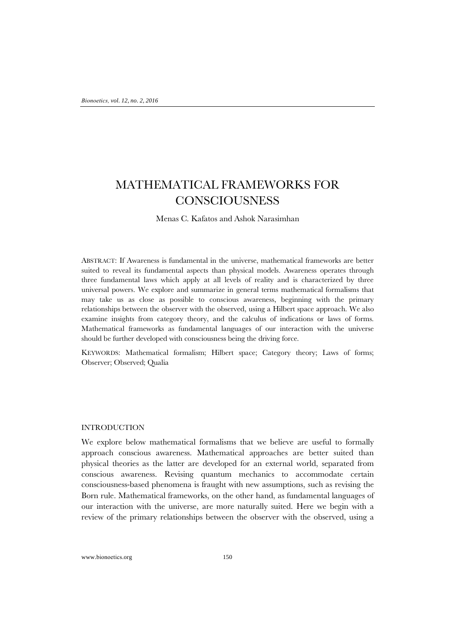# MATHEMATICAL FRAMEWORKS FOR **CONSCIOUSNESS**

Menas C. Kafatos and Ashok Narasimhan

ABSTRACT: If Awareness is fundamental in the universe, mathematical frameworks are better suited to reveal its fundamental aspects than physical models. Awareness operates through three fundamental laws which apply at all levels of reality and is characterized by three universal powers. We explore and summarize in general terms mathematical formalisms that may take us as close as possible to conscious awareness, beginning with the primary relationships between the observer with the observed, using a Hilbert space approach. We also examine insights from category theory, and the calculus of indications or laws of forms. Mathematical frameworks as fundamental languages of our interaction with the universe should be further developed with consciousness being the driving force.

KEYWORDS: Mathematical formalism; Hilbert space; Category theory; Laws of forms; Observer; Observed; Qualia

## INTRODUCTION

We explore below mathematical formalisms that we believe are useful to formally approach conscious awareness. Mathematical approaches are better suited than physical theories as the latter are developed for an external world, separated from conscious awareness. Revising quantum mechanics to accommodate certain consciousness-based phenomena is fraught with new assumptions, such as revising the Born rule. Mathematical frameworks, on the other hand, as fundamental languages of our interaction with the universe, are more naturally suited. Here we begin with a review of the primary relationships between the observer with the observed, using a

www.bionoetics.org 150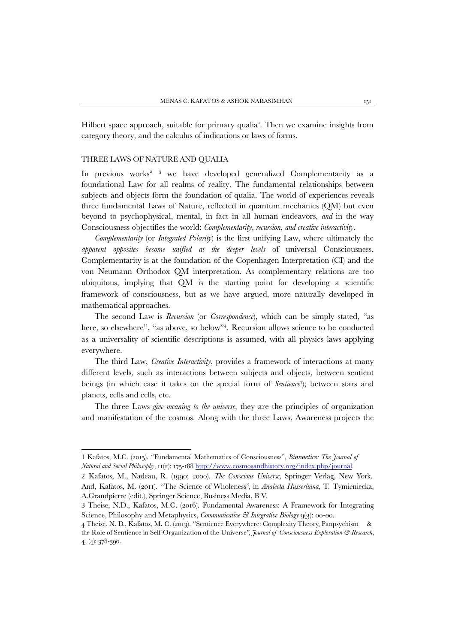Hilbert space approach, suitable for primary qualia<sup>[1](#page-1-0)</sup>. Then we examine insights from category theory, and the calculus of indications or laws of forms.

## THREE LAWS OF NATURE AND QUALIA

In previous works<sup>[2](#page-1-1)</sup><sup>[3](#page-1-2)</sup> we have developed generalized Complementarity as a foundational Law for all realms of reality. The fundamental relationships between subjects and objects form the foundation of qualia. The world of experiences reveals three fundamental Laws of Nature, reflected in quantum mechanics (QM) but even beyond to psychophysical, mental, in fact in all human endeavors, *and* in the way Consciousness objectifies the world: *Complementarity, recursion, and creative interactivity*.

*Complementarity* (or *Integrated Polarity*) is the first unifying Law, where ultimately the *apparent opposites become unified at the deeper levels* of universal Consciousness*.*  Complementarity is at the foundation of the Copenhagen Interpretation (CI) and the von Neumann Orthodox QM interpretation. As complementary relations are too ubiquitous, implying that QM is the starting point for developing a scientific framework of consciousness, but as we have argued, more naturally developed in mathematical approaches.

The second Law is *Recursion* (or *Correspondence*), which can be simply stated, "as here, so elsewhere", "as above, so below"[4](#page-1-3) . Recursion allows science to be conducted as a universality of scientific descriptions is assumed, with all physics laws applying everywhere.

The third Law, *Creative Interactivity*, provides a framework of interactions at many different levels, such as interactions between subjects and objects, between sentient beings (in which case it takes on the special form of *Sentience*<sup>3</sup>); between stars and planets, cells and cells, etc.

The three Laws *give meaning to the universe,* they are the principles of organization and manifestation of the cosmos. Along with the three Laws, Awareness projects the

<span id="page-1-0"></span><sup>1</sup> Kafatos, M.C. (2015). "Fundamental Mathematics of Consciousness", *Bionoetics: The Journal of Natural and Social Philosophy,* 11(2): 175-188 [http://www.cosmosandhistory.org/index.php/journal.](http://www.cosmosandhistory.org/index.php/journal)

<span id="page-1-1"></span><sup>2</sup> Kafatos, M., Nadeau, R. (1990; 2000). *The Conscious Universe,* Springer Verlag, New York. And, Kafatos, M. (2011). "The Science of Wholeness", in *Analecta Husserliana*, T. Tymieniecka, A.Grandpierre (edit.), Springer Science, Business Media, B.V.

<span id="page-1-2"></span><sup>3</sup> Theise, N.D., Kafatos, M.C. (2016). Fundamental Awareness: A Framework for Integrating Science, Philosophy and Metaphysics, *Communicative & Integrative Biology* 9(3): 00-00.

<span id="page-1-3"></span><sup>4</sup> Theise, N. D., Kafatos, M**.** C. (2013). "Sentience Everywhere: Complexity Theory, Panpsychism & the Role of Sentience in Self-Organization of the Universe", *Journal of Consciousness Exploration & Research*, **4**, (4): 378-390.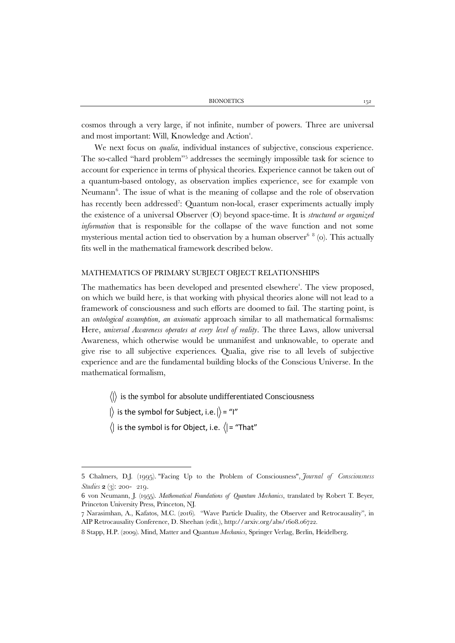cosmos through a very large, if not infinite, number of powers. Three are universal and most important: Will, Knowledge and Action<sup>1</sup>.

We next focus on *qualia*, individual instances of subjective, conscious experience. The so-called "hard problem"[5](#page-2-0) addresses the seemingly impossible task for science to account for experience in terms of physical theories. Experience cannot be taken out of a quantum-based ontology, as observation implies experience, see for example von Neumann<sup>6</sup>. The issue of what is the meaning of collapse and the role of observation has recently been addressed<sup>[7](#page-2-2)</sup>: Quantum non-local, eraser experiments actually imply the existence of a universal Observer (O) beyond space-time. It is *structured or organized information* that is responsible for the collapse of the wave function and not some mysterious mental action tied to observation by a human observer<sup>6  $8$ </sup> (o). This actually fits well in the mathematical framework described below.

# MATHEMATICS OF PRIMARY SUBJECT OBJECT RELATIONSHIPS

The mathematics has been developed and presented elsewhere'. The view proposed, on which we build here, is that working with physical theories alone will not lead to a framework of consciousness and such efforts are doomed to fail. The starting point, is an *ontological assumption, an axiomatic* approach similar to all mathematical formalisms: Here, *universal Awareness operates at every level of reality*. The three Laws, allow universal Awareness, which otherwise would be unmanifest and unknowable, to operate and give rise to all subjective experiences. Qualia, give rise to all levels of subjective experience and are the fundamental building blocks of the Conscious Universe. In the mathematical formalism,

 $\langle \cdot | \cdot \rangle$  is the symbol for absolute undifferentiated Consciousness

|) is the symbol for Subject, i.e.  $|\rangle$  = "I"

 $\langle$  is the symbol is for Object, i.e.  $\langle$  = "That"

<span id="page-2-0"></span><sup>5</sup> Chalmers, D.J. (1995). "Facing Up to the Problem of Consciousness", *Journal of Consciousness Studies* **2** (3): 200- 219.

<span id="page-2-1"></span><sup>6</sup> von Neumann, J. (1955). *Mathematical Foundations of Quantum Mechanics*, translated by Robert T. Beyer, Princeton University Press, Princeton, NJ.

<span id="page-2-2"></span><sup>7</sup> Narasimhan, A., Kafatos, M.C. (2016). "Wave Particle Duality, the Observer and Retrocausality", in AIP Retrocausality Conference, D. Sheehan (edit.), http://arxiv.org/abs/1608.06722.

<span id="page-2-3"></span><sup>8</sup> Stapp, H.P. (2009). Mind, Matter and Quantu*m Mechanics*, Springer Verlag, Berlin, Heidelberg.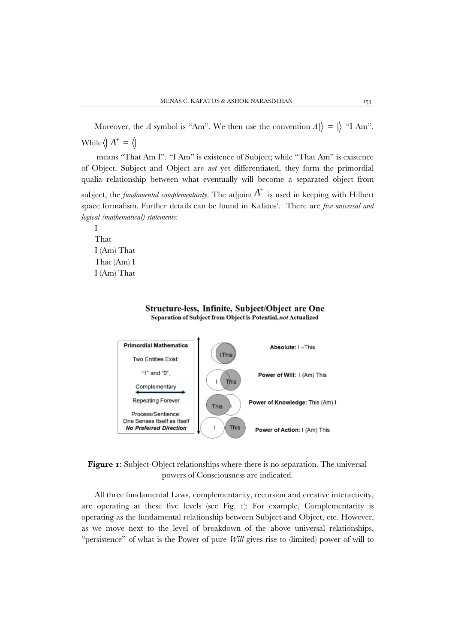Moreover, the *A* symbol is "Am". We then use the convention  $A|\rangle = |\rangle$  "I Am". While  $\langle | A^+ = \langle |$ 

means "That Am I". "I Am" is existence of Subject; while "That Am" is existence of Object. Subject and Object are *not* yet differentiated, they form the primordial qualia relationship between what eventually will become a separated object from subject, the *fundamental complementarity*. The adjoint  $A^+$  is used in keeping with Hilbert space formalism. Further details can be found in Kafatos<sup>1</sup>. There are *five universal and logical (mathematical) statements*:

I That I (Am) That That (Am) I I (Am) That



**Figure 1**: Subject-Object relationships where there is no separation. The universal powers of Consciousness are indicated.

All three fundamental Laws, complementarity, recursion and creative interactivity, are operating at these five levels (see Fig. 1): For example, Complementarity is operating as the fundamental relationship between Subject and Object, etc. However, as we move next to the level of breakdown of the above universal relationships, "persistence" of what is the Power of pure *Will* gives rise to (limited) power of will to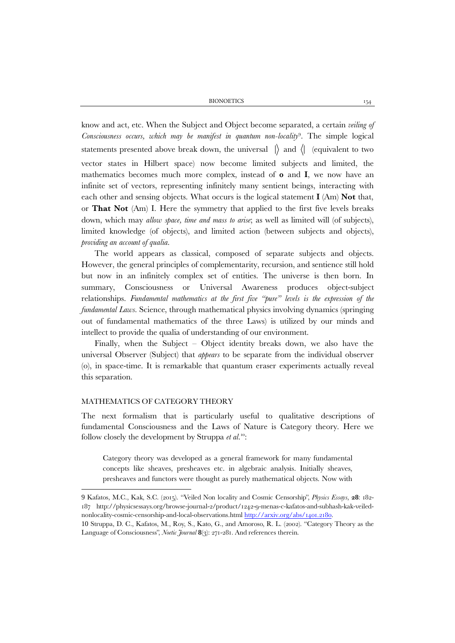BIONOETICS 154

know and act, etc. When the Subject and Object become separated, a certain *veiling of Consciousness occurs, which may be manifest in quantum non-locality*[9](#page-4-0) . The simple logical statements presented above break down, the universal  $\parallel$  and  $\parallel$  (equivalent to two vector states in Hilbert space) now become limited subjects and limited, the mathematics becomes much more complex, instead of **0** and **I**, we now have an infinite set of vectors, representing infinitely many sentient beings, interacting with each other and sensing objects. What occurs is the logical statement **I** (Am) **Not** that, or **That Not** (Am) I. Here the symmetry that applied to the first five levels breaks down, which may *allow space, time and mass to arise*; as well as limited will (of subjects), limited knowledge (of objects), and limited action (between subjects and objects), *providing an account of qualia*.

The world appears as classical, composed of separate subjects and objects. However, the general principles of complementarity, recursion, and sentience still hold but now in an infinitely complex set of entities. The universe is then born. In summary, Consciousness or Universal Awareness produces object-subject relationships. *Fundamental mathematics at the first five "pure" levels is the expression of the fundamental Laws.* Science, through mathematical physics involving dynamics (springing out of fundamental mathematics of the three Laws) is utilized by our minds and intellect to provide the qualia of understanding of our environment.

Finally, when the Subject – Object identity breaks down, we also have the universal Observer (Subject) that *appears* to be separate from the individual observer (o), in space-time. It is remarkable that quantum eraser experiments actually reveal this separation.

# MATHEMATICS OF CATEGORY THEORY

The next formalism that is particularly useful to qualitative descriptions of fundamental Consciousness and the Laws of Nature is Category theory. Here we follow closely the development by Struppa et al.<sup>[10](#page-4-1)</sup>:

Category theory was developed as a general framework for many fundamental concepts like sheaves, presheaves etc. in algebraic analysis. Initially sheaves, presheaves and functors were thought as purely mathematical objects. Now with

<span id="page-4-0"></span>9 Kafatos, M.C., Kak, S.C. (2015). "Veiled Non locality and Cosmic Censorship", *Physics Essays*, **28**: 182- 187 http://physicsessays.org/browse-journal-2/product/1242-9-menas-c-kafatos-and-subhash-kak-veilednonlocality-cosmic-censorship-and-local-observations.htm[l http://arxiv.org/abs/1401.2180.](http://arxiv.org/abs/1401.2180)

<span id="page-4-1"></span>10 Struppa, D. C., Kafatos, M., Roy, S., Kato, G., and Amoroso, R. L. (2002). "Category Theory as the Language of Consciousness", *Noetic Journal* **8**(3): 271-281. And references therein.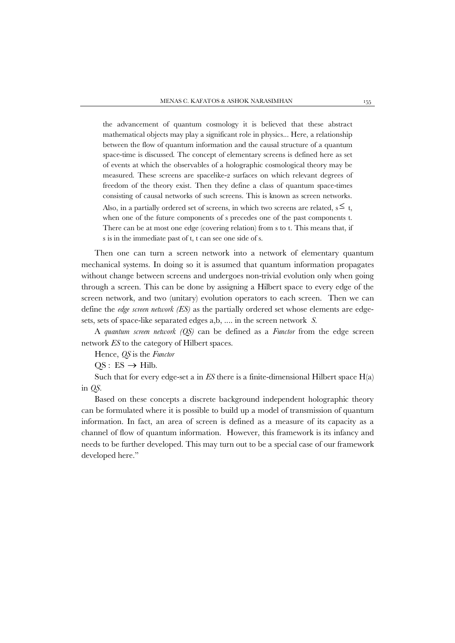the advancement of quantum cosmology it is believed that these abstract mathematical objects may play a significant role in physics... Here, a relationship between the flow of quantum information and the causal structure of a quantum space-time is discussed. The concept of elementary screens is defined here as set of events at which the observables of a holographic cosmological theory may be measured. These screens are spacelike-2 surfaces on which relevant degrees of freedom of the theory exist. Then they define a class of quantum space-times consisting of causal networks of such screens. This is known as screen networks. Also, in a partially ordered set of screens, in which two screens are related,  $s \leq t$ , when one of the future components of s precedes one of the past components t. There can be at most one edge (covering relation) from s to t. This means that, if s is in the immediate past of t, t can see one side of s.

Then one can turn a screen network into a network of elementary quantum mechanical systems. In doing so it is assumed that quantum information propagates without change between screens and undergoes non-trivial evolution only when going through a screen. This can be done by assigning a Hilbert space to every edge of the screen network, and two (unitary) evolution operators to each screen. Then we can define the *edge screen network (ES)* as the partially ordered set whose elements are edgesets, sets of space-like separated edges a,b, .... in the screen network *S*.

A *quantum screen network (QS)* can be defined as a *Functor* from the edge screen network *ES* to the category of Hilbert spaces.

Hence, *QS* is the *Functor*

 $OS: ES \rightarrow Hilb.$ 

Such that for every edge-set a in *ES* there is a finite-dimensional Hilbert space H(a) in *QS.*

Based on these concepts a discrete background independent holographic theory can be formulated where it is possible to build up a model of transmission of quantum information. In fact, an area of screen is defined as a measure of its capacity as a channel of flow of quantum information. However, this framework is its infancy and needs to be further developed. This may turn out to be a special case of our framework developed here."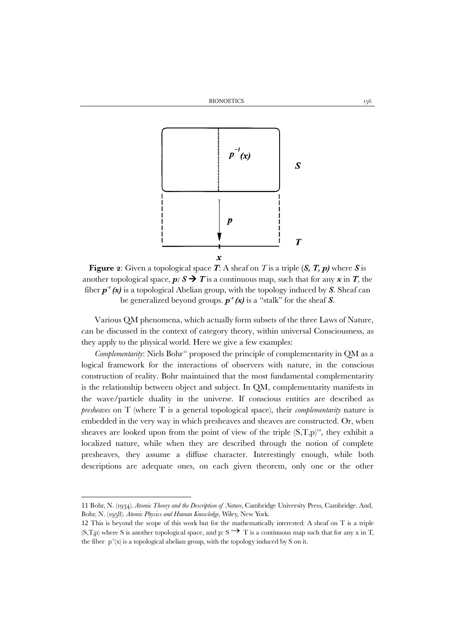

**Figure 2**: Given a topological space *T*: A sheaf on *T* is a triple **(***S, T, p)* where *S* is another topological space,  $p: S \rightarrow T$  is a continuous map, such that for any  $x$  in  $T$ , the fiber *p-1 (x)* is a topological Abelian group, with the topology induced by *S*. Sheaf can be generalized beyond groups.  $p^r(x)$  is a "stalk" for the sheaf *S*.

Various QM phenomena, which actually form subsets of the three Laws of Nature, can be discussed in the context of category theory, within universal Consciousness, as they apply to the physical world. Here we give a few examples:

*Complementarity*: Niels Bohr<sup>[11](#page-6-0)</sup> proposed the principle of complementarity in QM as a logical framework for the interactions of observers with nature, in the conscious construction of reality. Bohr maintained that the most fundamental complementarity is the relationship between object and subject. In QM, complementarity manifests in the wave/particle duality in the universe. If conscious entities are described as *presheaves* on T (where T is a general topological space), their *complementarity* nature is embedded in the very way in which presheaves and sheaves are constructed. Or, when sheaves are looked upon from the point of view of the triple  $(S,T,p)^{12}$  $(S,T,p)^{12}$  $(S,T,p)^{12}$ , they exhibit a localized nature, while when they are described through the notion of complete presheaves, they assume a diffuse character. Interestingly enough, while both descriptions are adequate ones, on each given theorem, only one or the other

<span id="page-6-0"></span><sup>11</sup> Bohr, N. (1934). *Atomic Theory and the Description of Nature*, Cambridge University Press, Cambridge. And, Bohr, N. (1958). *Atomic Physics and Human Knowledge*, Wiley, New York.

<span id="page-6-1"></span><sup>12</sup> This is beyond the scope of this work but for the mathematically interested: A sheaf on T is a triple  $(S,T,p)$  where S is another topological space, and p:  $S \rightarrow T$  is a continuous map such that for any x in T, the fiber  $p^{-1}(x)$  is a topological abelian group, with the topology induced by S on it.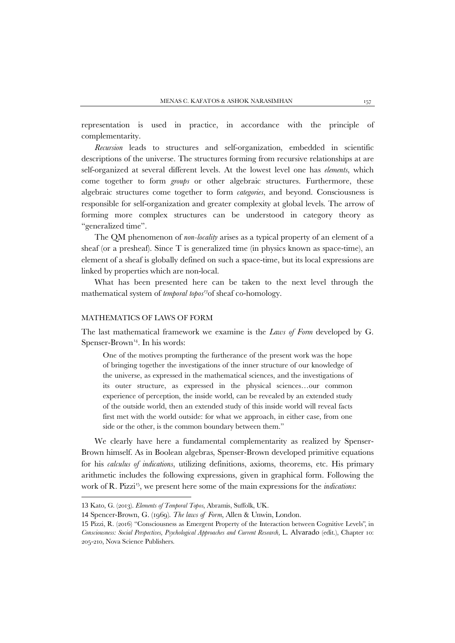representation is used in practice, in accordance with the principle of complementarity.

*Recursion* leads to structures and self-organization, embedded in scientific descriptions of the universe. The structures forming from recursive relationships at are self-organized at several different levels. At the lowest level one has *elements*, which come together to form *groups* or other algebraic structures. Furthermore, these algebraic structures come together to form *categories*, and beyond. Consciousness is responsible for self-organization and greater complexity at global levels. The arrow of forming more complex structures can be understood in category theory as "generalized time".

The QM phenomenon of *non-locality* arises as a typical property of an element of a sheaf (or a presheaf). Since T is generalized time (in physics known as space-time), an element of a sheaf is globally defined on such a space-time, but its local expressions are linked by properties which are non-local.

What has been presented here can be taken to the next level through the mathematical system of *temporal topos[13](#page-7-0)*of sheaf co-homology.

#### MATHEMATICS OF LAWS OF FORM

The last mathematical framework we examine is the *Laws of Form* developed by G. Spenser-Brown<sup>[14](#page-7-1)</sup>. In his words:

One of the motives prompting the furtherance of the present work was the hope of bringing together the investigations of the inner structure of our knowledge of the universe, as expressed in the mathematical sciences, and the investigations of its outer structure, as expressed in the physical sciences…our common experience of perception, the inside world, can be revealed by an extended study of the outside world, then an extended study of this inside world will reveal facts first met with the world outside: for what we approach, in either case, from one side or the other, is the common boundary between them."

We clearly have here a fundamental complementarity as realized by Spenser-Brown himself. As in Boolean algebras, Spenser-Brown developed primitive equations for his *calculus of indications*, utilizing definitions, axioms, theorems, etc. His primary arithmetic includes the following expressions, given in graphical form. Following the work of R. Pizzi[15,](#page-7-2) we present here some of the main expressions for the *indications*:

 $\overline{a}$ 

<sup>13</sup> Kato, G. (2013). *Elements of Temporal Topos*, Abramis, Suffolk, UK.

<span id="page-7-1"></span><span id="page-7-0"></span><sup>14</sup> Spencer-Brown, G. (1969). *The laws of Form*, Allen & Unwin, London.

<span id="page-7-2"></span><sup>15</sup> Pizzi, R. (2016) "Consciousness as Emergent Property of the Interaction between Cognitive Levels", in *Consciousness: Social Perspectives, Psychological Approaches and Current Research,* L. Alvarado (edit.), Chapter 10: 205-210, Nova Science Publishers.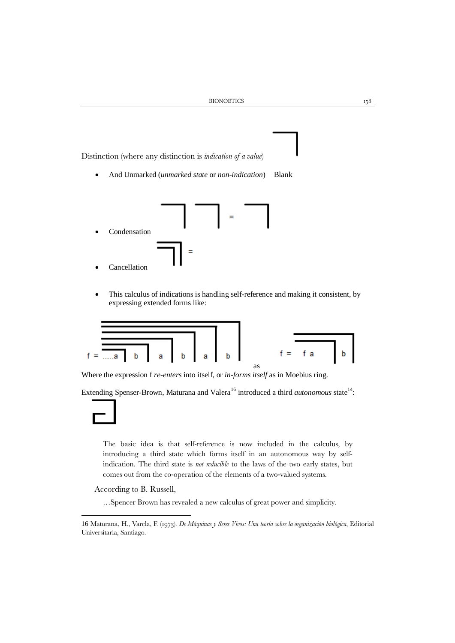Distinction (where any distinction is *indication of a value*)

• And Unmarked (*unmarked state* or *non-indication*) Blank



This calculus of indications is handling self-reference and making it consistent, by expressing extended forms like:



Where the expression f *re-enters* into itself, or *in-forms itself* as in Moebius ring.

Extending Spenser-Brown, Maturana and Valera<sup>[16](#page-8-0)</sup> introduced a third *autonomous* state<sup>14</sup>:

The basic idea is that self-reference is now included in the calculus, by introducing a third state which forms itself in an autonomous way by selfindication. The third state is *not reducible* to the laws of the two early states, but comes out from the co-operation of the elements of a two-valued systems.

According to B. Russell,

…Spencer Brown has revealed a new calculus of great power and simplicity.

<span id="page-8-0"></span><sup>16</sup> Maturana, H., Varela, F. (1973). *De Máquinas y Seres Vivos: Una teoría sobre la organización biológica*, Editorial Universitaria, Santiago.